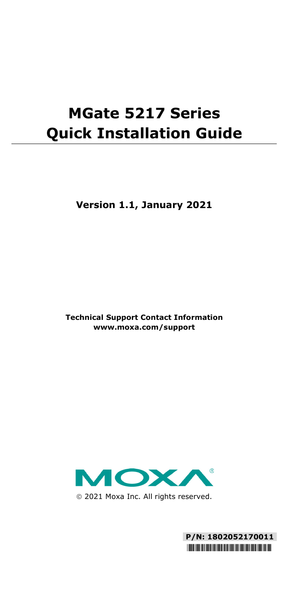# **MGate 5217 Series Quick Installation Guide**

**Version 1.1, January 2021**

**Technical Support Contact Information www.moxa.com/support**



2021 Moxa Inc. All rights reserved.

**P/N: 1802052170011** \*1802052170011\*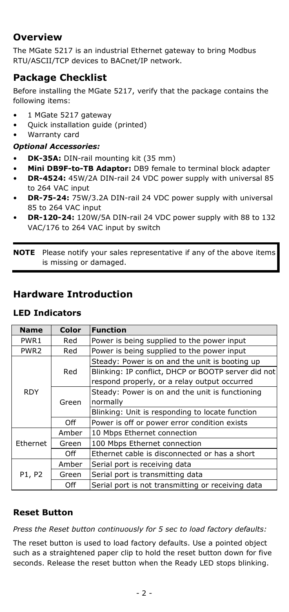### **Overview**

The MGate 5217 is an industrial Ethernet gateway to bring Modbus RTU/ASCII/TCP devices to BACnet/IP network.

### **Package Checklist**

Before installing the MGate 5217, verify that the package contains the following items:

- 1 MGate 5217 gateway
- Quick installation guide (printed)
- Warranty card

#### *Optional Accessories:*

- **DK-35A:** DIN-rail mounting kit (35 mm)
- **Mini DB9F-to-TB Adaptor:** DB9 female to terminal block adapter
- **DR-4524:** 45W/2A DIN-rail 24 VDC power supply with universal 85 to 264 VAC input
- **DR-75-24:** 75W/3.2A DIN-rail 24 VDC power supply with universal 85 to 264 VAC input
- **DR-120-24:** 120W/5A DIN-rail 24 VDC power supply with 88 to 132 VAC/176 to 264 VAC input by switch

**NOTE** Please notify your sales representative if any of the above items is missing or damaged.

### **Hardware Introduction**

### **LED Indicators**

| <b>Name</b>      | Color | <b>Function</b>                                     |  |  |
|------------------|-------|-----------------------------------------------------|--|--|
| PWR <sub>1</sub> | Red   | Power is being supplied to the power input          |  |  |
| PWR <sub>2</sub> | Red   | Power is being supplied to the power input          |  |  |
| <b>RDY</b>       |       | Steady: Power is on and the unit is booting up      |  |  |
|                  | Red   | Blinking: IP conflict, DHCP or BOOTP server did not |  |  |
|                  |       | respond properly, or a relay output occurred        |  |  |
|                  |       | Steady: Power is on and the unit is functioning     |  |  |
|                  | Green | normally                                            |  |  |
|                  |       | Blinking: Unit is responding to locate function     |  |  |
|                  | Off   | Power is off or power error condition exists        |  |  |
|                  | Amber | 10 Mbps Ethernet connection                         |  |  |
| Ethernet         | Green | 100 Mbps Ethernet connection                        |  |  |
|                  | Off   | Ethernet cable is disconnected or has a short       |  |  |
| P1, P2           | Amber | Serial port is receiving data                       |  |  |
|                  | Green | Serial port is transmitting data                    |  |  |
|                  | Off   | Serial port is not transmitting or receiving data   |  |  |

### **Reset Button**

*Press the Reset button continuously for 5 sec to load factory defaults:*

The reset button is used to load factory defaults. Use a pointed object such as a straightened paper clip to hold the reset button down for five seconds. Release the reset button when the Ready LED stops blinking.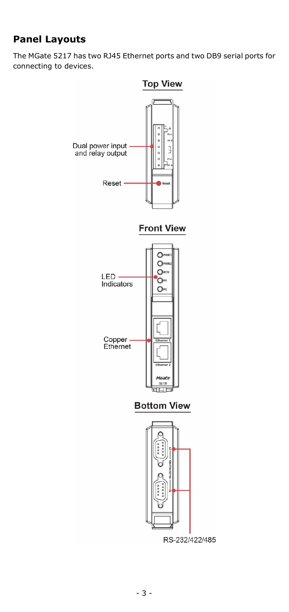# **Panel Layouts**

The MGate 5217 has two RJ45 Ethernet ports and two DB9 serial ports for connecting to devices.

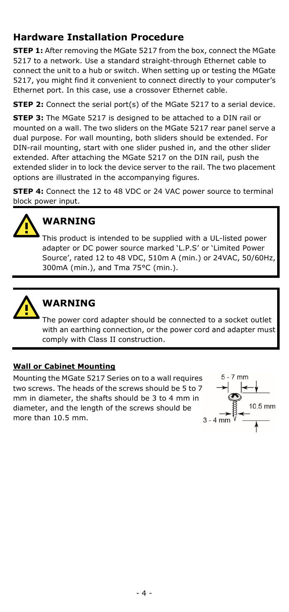## **Hardware Installation Procedure**

**STEP 1:** After removing the MGate 5217 from the box, connect the MGate 5217 to a network. Use a standard straight-through Ethernet cable to connect the unit to a hub or switch. When setting up or testing the MGate 5217, you might find it convenient to connect directly to your computer's Ethernet port. In this case, use a crossover Ethernet cable.

**STEP 2:** Connect the serial port(s) of the MGate 5217 to a serial device.

**STEP 3:** The MGate 5217 is designed to be attached to a DIN rail or mounted on a wall. The two sliders on the MGate 5217 rear panel serve a dual purpose. For wall mounting, both sliders should be extended. For DIN-rail mounting, start with one slider pushed in, and the other slider extended. After attaching the MGate 5217 on the DIN rail, push the extended slider in to lock the device server to the rail. The two placement options are illustrated in the accompanying figures.

**STEP 4:** Connect the 12 to 48 VDC or 24 VAC power source to terminal block power input.



# **WARNING**

This product is intended to be supplied with a UL-listed power adapter or DC power source marked 'L.P.S' or 'Limited Power Source', rated 12 to 48 VDC, 510m A (min.) or 24VAC, 50/60Hz, 300mA (min.), and Tma 75°C (min.).



# **WARNING**

The power cord adapter should be connected to a socket outlet with an earthing connection, or the power cord and adapter must comply with Class II construction.

#### **Wall or Cabinet Mounting**

Mounting the MGate 5217 Series on to a wall requires two screws. The heads of the screws should be 5 to 7 mm in diameter, the shafts should be 3 to 4 mm in diameter, and the length of the screws should be more than 10.5 mm.

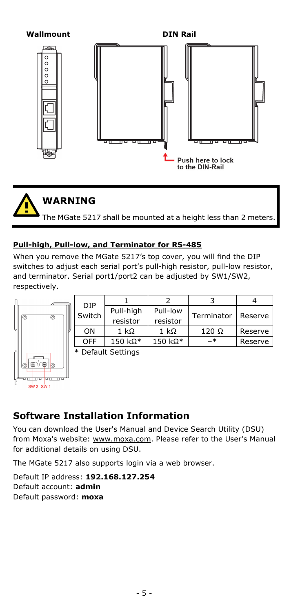

The MGate 5217 shall be mounted at a height less than 2 meters.

#### **Pull-high, Pull-low, and Terminator for RS-485**

When you remove the MGate 5217's top cover, you will find the DIP switches to adjust each serial port's pull-high resistor, pull-low resistor, and terminator. Serial port1/port2 can be adjusted by SW1/SW2, respectively.



| Pull-high | Pull-low         |              | Reserve    |  |
|-----------|------------------|--------------|------------|--|
| resistor  | resistor         |              |            |  |
| 1 kO      | 1 kO             | $120 \Omega$ | Reserve    |  |
| $150$ kΩ* | 150 k $\Omega^*$ | –*           | Reserve    |  |
|           |                  |              | Terminator |  |

Default Settings

### **Software Installation Information**

You can download the User's Manual and Device Search Utility (DSU) from Moxa's website: [www.moxa.com.](http://www.moxa.com/) Please refer to the User's Manual for additional details on using DSU.

The MGate 5217 also supports login via a web browser.

Default IP address: **192.168.127.254** Default account: **admin** Default password: **moxa**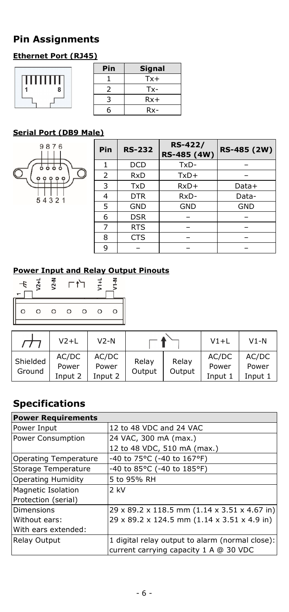# **Pin Assignments**

### **Ethernet Port (RJ45)**

|          | Pin | <b>Signal</b> |  |
|----------|-----|---------------|--|
| ,,,,,,,, |     | $Tx+$         |  |
| 1<br>8   |     | $Tx -$        |  |
|          |     | $Rx+$         |  |
|          | 6   | Rx-           |  |

### **Serial Port (DB9 Male)**



| Pin | <b>RS-232</b> | <b>RS-422/</b><br>RS-485 (4W) | RS-485 (2W) |
|-----|---------------|-------------------------------|-------------|
|     | <b>DCD</b>    | TxD-                          |             |
| 2   | <b>RxD</b>    | $TxD+$                        |             |
| 3   | TxD           | $RxD+$                        | Data+       |
| 4   | <b>DTR</b>    | RxD-                          | Data-       |
| 5   | GND           | <b>GND</b>                    | <b>GND</b>  |
| 6   | <b>DSR</b>    |                               |             |
| 7   | <b>RTS</b>    |                               |             |
| 8   | <b>CTS</b>    |                               |             |
| 9   |               |                               |             |

### **Power Input and Relay Output Pinouts**



|                    | $V2+L$                    | $V2-N$                    |                 |                 | $V1+L$                    | $V1-N$                    |
|--------------------|---------------------------|---------------------------|-----------------|-----------------|---------------------------|---------------------------|
| Shielded<br>Ground | AC/DC<br>Power<br>Input 2 | AC/DC<br>Power<br>Input 2 | Relay<br>Output | Relay<br>Output | AC/DC<br>Power<br>Input 1 | AC/DC<br>Power<br>Input 1 |

# **Specifications**

| <b>Power Requirements</b>    |                                                 |
|------------------------------|-------------------------------------------------|
| Power Input                  | 12 to 48 VDC and 24 VAC                         |
| Power Consumption            | 24 VAC, 300 mA (max.)                           |
|                              | 12 to 48 VDC, 510 mA (max.)                     |
| <b>Operating Temperature</b> | -40 to 75°C (-40 to 167°F)                      |
| Storage Temperature          | -40 to 85°C (-40 to 185°F)                      |
| <b>Operating Humidity</b>    | 5 to 95% RH                                     |
| <b>Magnetic Isolation</b>    | $2$ kV                                          |
| Protection (serial)          |                                                 |
| <b>Dimensions</b>            | 29 x 89.2 x 118.5 mm (1.14 x 3.51 x 4.67 in)    |
| Without ears:                | 29 x 89.2 x 124.5 mm (1.14 x 3.51 x 4.9 in)     |
| With ears extended:          |                                                 |
| <b>Relay Output</b>          | 1 digital relay output to alarm (normal close): |
|                              | current carrying capacity 1 A @ 30 VDC          |